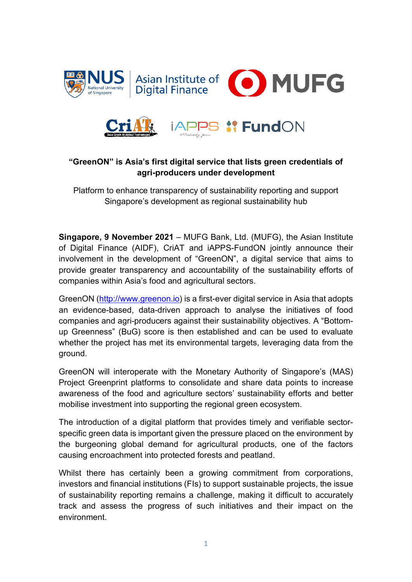





# **"GreenON" is Asia's first digital service that lists green credentials of agri-producers under development**

Platform to enhance transparency of sustainability reporting and support Singapore's development as regional sustainability hub

**Singapore, 9 November 2021** – MUFG Bank, Ltd. (MUFG), the Asian Institute of Digital Finance (AIDF), CriAT and iAPPS-FundON jointly announce their involvement in the development of "GreenON", a digital service that aims to provide greater transparency and accountability of the sustainability efforts of companies within Asia's food and agricultural sectors.

GreenON [\(http://www.greenon.io\)](http://www.greenon.io/) is a first-ever digital service in Asia that adopts an evidence-based, data-driven approach to analyse the initiatives of food companies and agri-producers against their sustainability objectives. A "Bottomup Greenness" (BuG) score is then established and can be used to evaluate whether the project has met its environmental targets, leveraging data from the ground.

GreenON will interoperate with the Monetary Authority of Singapore's (MAS) Project Greenprint platforms to consolidate and share data points to increase awareness of the food and agriculture sectors' sustainability efforts and better mobilise investment into supporting the regional green ecosystem.

The introduction of a digital platform that provides timely and verifiable sectorspecific green data is important given the pressure placed on the environment by the burgeoning global demand for agricultural products, one of the factors causing encroachment into protected forests and peatland.

Whilst there has certainly been a growing commitment from corporations, investors and financial institutions (FIs) to support sustainable projects, the issue of sustainability reporting remains a challenge, making it difficult to accurately track and assess the progress of such initiatives and their impact on the environment.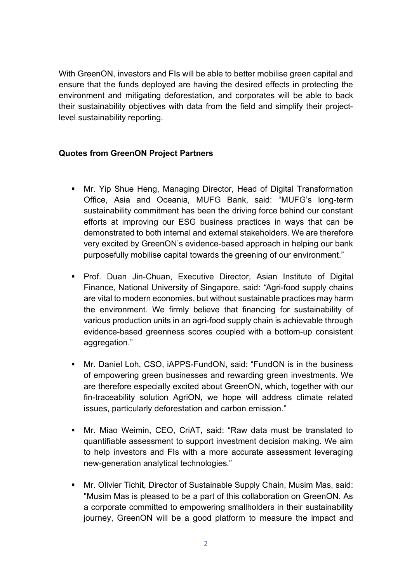With GreenON, investors and FIs will be able to better mobilise green capital and ensure that the funds deployed are having the desired effects in protecting the environment and mitigating deforestation, and corporates will be able to back their sustainability objectives with data from the field and simplify their projectlevel sustainability reporting.

## **Quotes from GreenON Project Partners**

- Mr. Yip Shue Heng, Managing Director, Head of Digital Transformation Office, Asia and Oceania, MUFG Bank, said: "MUFG's long-term sustainability commitment has been the driving force behind our constant efforts at improving our ESG business practices in ways that can be demonstrated to both internal and external stakeholders. We are therefore very excited by GreenON's evidence-based approach in helping our bank purposefully mobilise capital towards the greening of our environment."
- **Prof. Duan Jin-Chuan, Executive Director, Asian Institute of Digital** Finance, National University of Singapore*,* said: *"*Agri-food supply chains are vital to modern economies, but without sustainable practices may harm the environment. We firmly believe that financing for sustainability of various production units in an agri-food supply chain is achievable through evidence-based greenness scores coupled with a bottom-up consistent aggregation."
- Mr. Daniel Loh, CSO, iAPPS-FundON, said: "FundON is in the business of empowering green businesses and rewarding green investments. We are therefore especially excited about GreenON, which, together with our fin-traceability solution AgriON, we hope will address climate related issues, particularly deforestation and carbon emission."
- Mr. Miao Weimin, CEO, CriAT, said: "Raw data must be translated to quantifiable assessment to support investment decision making. We aim to help investors and FIs with a more accurate assessment leveraging new-generation analytical technologies."
- Mr. Olivier Tichit, Director of Sustainable Supply Chain, Musim Mas, said: "Musim Mas is pleased to be a part of this collaboration on GreenON. As a corporate committed to empowering smallholders in their sustainability journey, GreenON will be a good platform to measure the impact and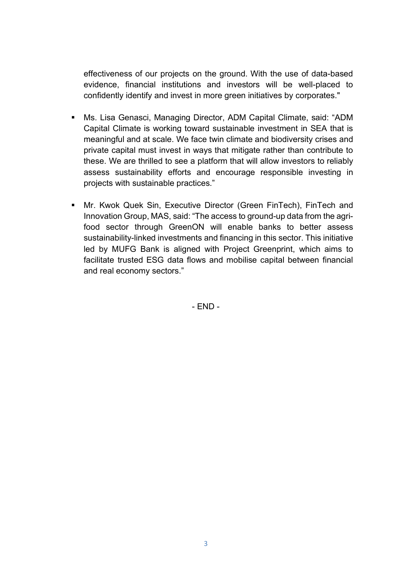effectiveness of our projects on the ground. With the use of data-based evidence, financial institutions and investors will be well-placed to confidently identify and invest in more green initiatives by corporates."

- Ms. Lisa Genasci, Managing Director, ADM Capital Climate, said: "ADM Capital Climate is working toward sustainable investment in SEA that is meaningful and at scale. We face twin climate and biodiversity crises and private capital must invest in ways that mitigate rather than contribute to these. We are thrilled to see a platform that will allow investors to reliably assess sustainability efforts and encourage responsible investing in projects with sustainable practices."
- Mr. Kwok Quek Sin, Executive Director (Green FinTech), FinTech and Innovation Group, MAS, said: "The access to ground-up data from the agrifood sector through GreenON will enable banks to better assess sustainability-linked investments and financing in this sector. This initiative led by MUFG Bank is aligned with Project Greenprint, which aims to facilitate trusted ESG data flows and mobilise capital between financial and real economy sectors."

- END -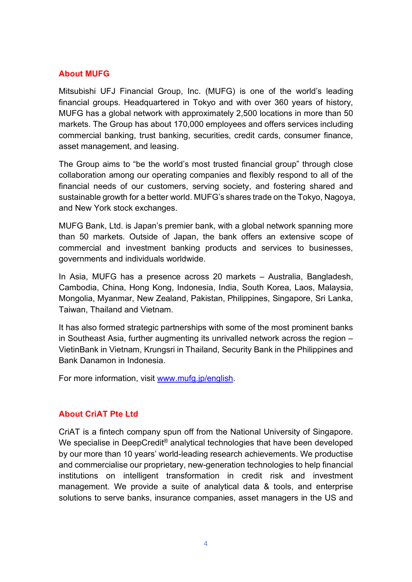### **About MUFG**

Mitsubishi UFJ Financial Group, Inc. (MUFG) is one of the world's leading financial groups. Headquartered in Tokyo and with over 360 years of history, MUFG has a global network with approximately 2,500 locations in more than 50 markets. The Group has about 170,000 employees and offers services including commercial banking, trust banking, securities, credit cards, consumer finance, asset management, and leasing.

The Group aims to "be the world's most trusted financial group" through close collaboration among our operating companies and flexibly respond to all of the financial needs of our customers, serving society, and fostering shared and sustainable growth for a better world. MUFG's shares trade on the Tokyo, Nagoya, and New York stock exchanges.

MUFG Bank, Ltd. is Japan's premier bank, with a global network spanning more than 50 markets. Outside of Japan, the bank offers an extensive scope of commercial and investment banking products and services to businesses, governments and individuals worldwide.

In Asia, MUFG has a presence across 20 markets – Australia, Bangladesh, Cambodia, China, Hong Kong, Indonesia, India, South Korea, Laos, Malaysia, Mongolia, Myanmar, New Zealand, Pakistan, Philippines, Singapore, Sri Lanka, Taiwan, Thailand and Vietnam.

It has also formed strategic partnerships with some of the most prominent banks in Southeast Asia, further augmenting its unrivalled network across the region – VietinBank in Vietnam, Krungsri in Thailand, Security Bank in the Philippines and Bank Danamon in Indonesia.

For more information, visit [www.mufg.jp/english.](http://www.mufg.jp/english)

## **About CriAT Pte Ltd**

CriAT is a fintech company spun off from the National University of Singapore. We specialise in DeepCredit<sup>®</sup> analytical technologies that have been developed by our more than 10 years' world-leading research achievements. We productise and commercialise our proprietary, new-generation technologies to help financial institutions on intelligent transformation in credit risk and investment management. We provide a suite of analytical data & tools, and enterprise solutions to serve banks, insurance companies, asset managers in the US and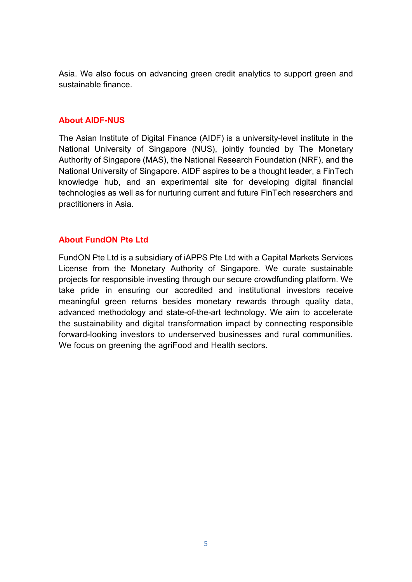Asia. We also focus on advancing green credit analytics to support green and sustainable finance.

#### **About AIDF-NUS**

The Asian Institute of Digital Finance (AIDF) is a university-level institute in the National University of Singapore (NUS), jointly founded by The Monetary Authority of Singapore (MAS), the National Research Foundation (NRF), and the National University of Singapore. AIDF aspires to be a thought leader, a FinTech knowledge hub, and an experimental site for developing digital financial technologies as well as for nurturing current and future FinTech researchers and practitioners in Asia.

#### **About FundON Pte Ltd**

FundON Pte Ltd is a subsidiary of iAPPS Pte Ltd with a Capital Markets Services License from the Monetary Authority of Singapore. We curate sustainable projects for responsible investing through our secure crowdfunding platform. We take pride in ensuring our accredited and institutional investors receive meaningful green returns besides monetary rewards through quality data, advanced methodology and state-of-the-art technology. We aim to accelerate the sustainability and digital transformation impact by connecting responsible forward-looking investors to underserved businesses and rural communities. We focus on greening the agriFood and Health sectors.